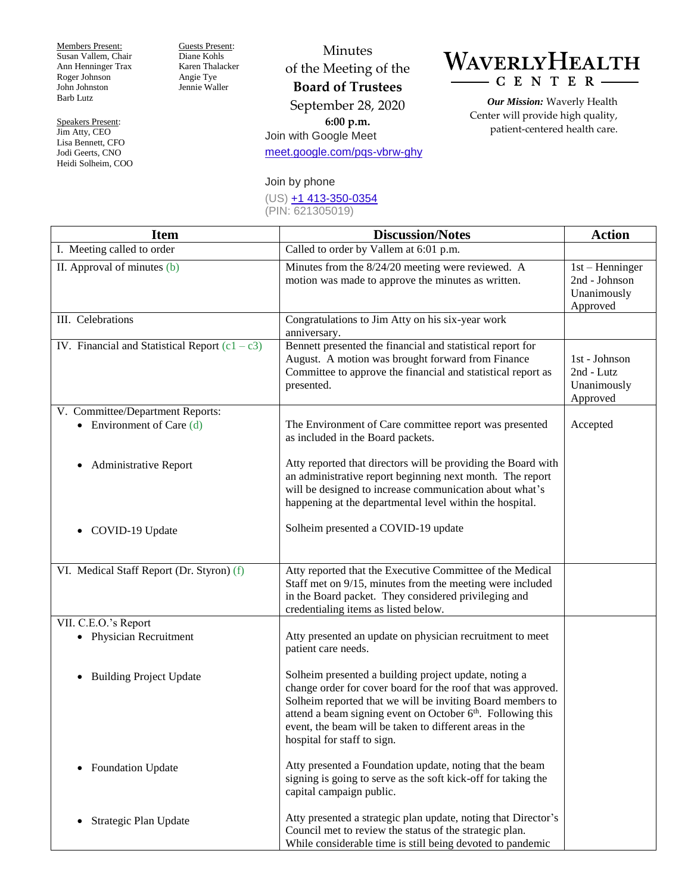Members Present: Susan Vallem, Chair Ann Henninger Trax Roger Johnson John Johnston Barb Lutz

Speakers Present: Jim Atty, CEO Lisa Bennett, CFO Jodi Geerts, CNO Heidi Solheim, COO Guests Present: Diane Kohls Karen Thalacker Angie Tye Jennie Waller

Minutes of the Meeting of the **Board of Trustees** September 28, 2020 **6:00 p.m.** Join with Google Meet [meet.google.com/pqs-vbrw-ghy](https://meet.google.com/pqs-vbrw-ghy)

## WAVERLYHEALTH  $-$  C E N T E R  $\cdot$

*Our Mission:* Waverly Health Center will provide high quality, patient-centered health care.

## Join by phone

(US) [+1 413-350-0354](tel:+1-413-350-0354) (PIN: 621305019)

| <b>Item</b>                                      | <b>Discussion/Notes</b>                                                                                                                                                                                                                                                                                                                                  | <b>Action</b>                                                 |
|--------------------------------------------------|----------------------------------------------------------------------------------------------------------------------------------------------------------------------------------------------------------------------------------------------------------------------------------------------------------------------------------------------------------|---------------------------------------------------------------|
| I. Meeting called to order                       | Called to order by Vallem at 6:01 p.m.                                                                                                                                                                                                                                                                                                                   |                                                               |
| II. Approval of minutes (b)                      | Minutes from the 8/24/20 meeting were reviewed. A<br>motion was made to approve the minutes as written.                                                                                                                                                                                                                                                  | $1st$ – Henninger<br>2nd - Johnson<br>Unanimously<br>Approved |
| III. Celebrations                                | Congratulations to Jim Atty on his six-year work<br>anniversary.                                                                                                                                                                                                                                                                                         |                                                               |
| IV. Financial and Statistical Report $(c1 - c3)$ | Bennett presented the financial and statistical report for<br>August. A motion was brought forward from Finance<br>Committee to approve the financial and statistical report as<br>presented.                                                                                                                                                            | 1st - Johnson<br>2nd - Lutz<br>Unanimously<br>Approved        |
| V. Committee/Department Reports:                 |                                                                                                                                                                                                                                                                                                                                                          |                                                               |
| • Environment of Care $(d)$                      | The Environment of Care committee report was presented<br>as included in the Board packets.                                                                                                                                                                                                                                                              | Accepted                                                      |
| <b>Administrative Report</b>                     | Atty reported that directors will be providing the Board with<br>an administrative report beginning next month. The report<br>will be designed to increase communication about what's<br>happening at the departmental level within the hospital.                                                                                                        |                                                               |
| • COVID-19 Update                                | Solheim presented a COVID-19 update                                                                                                                                                                                                                                                                                                                      |                                                               |
| VI. Medical Staff Report (Dr. Styron) (f)        | Atty reported that the Executive Committee of the Medical<br>Staff met on 9/15, minutes from the meeting were included<br>in the Board packet. They considered privileging and<br>credentialing items as listed below.                                                                                                                                   |                                                               |
| VII. C.E.O.'s Report                             |                                                                                                                                                                                                                                                                                                                                                          |                                                               |
| • Physician Recruitment                          | Atty presented an update on physician recruitment to meet<br>patient care needs.                                                                                                                                                                                                                                                                         |                                                               |
| <b>Building Project Update</b><br>٠              | Solheim presented a building project update, noting a<br>change order for cover board for the roof that was approved.<br>Solheim reported that we will be inviting Board members to<br>attend a beam signing event on October 6 <sup>th</sup> . Following this<br>event, the beam will be taken to different areas in the<br>hospital for staff to sign. |                                                               |
| <b>Foundation Update</b><br>٠                    | Atty presented a Foundation update, noting that the beam<br>signing is going to serve as the soft kick-off for taking the<br>capital campaign public.                                                                                                                                                                                                    |                                                               |
| Strategic Plan Update<br>٠                       | Atty presented a strategic plan update, noting that Director's<br>Council met to review the status of the strategic plan.<br>While considerable time is still being devoted to pandemic                                                                                                                                                                  |                                                               |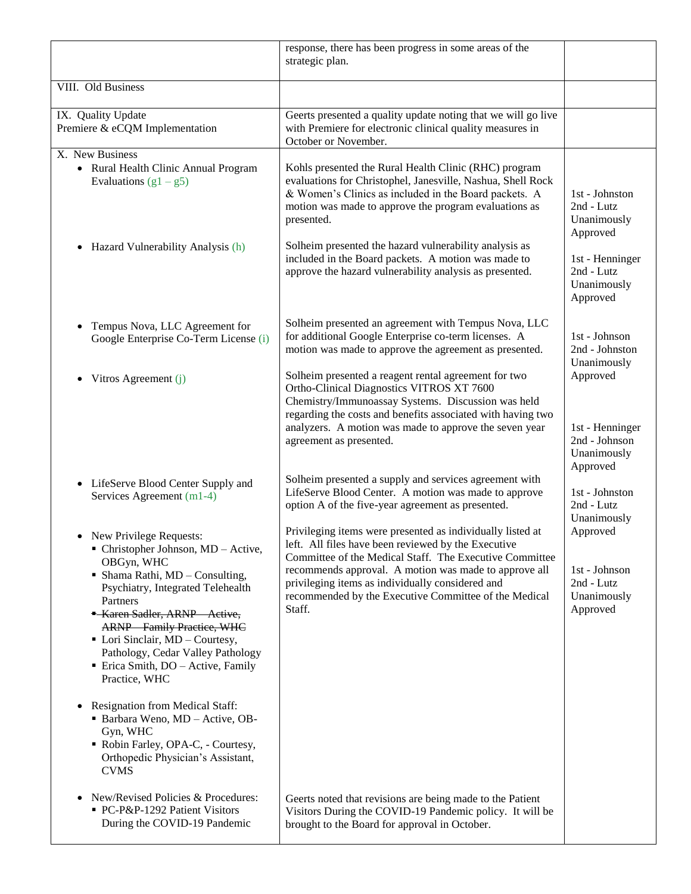|                                                                                                                                                                                                                                                                                                               | response, there has been progress in some areas of the<br>strategic plan.                                                                                                                                                                                                                                   |                                                                         |
|---------------------------------------------------------------------------------------------------------------------------------------------------------------------------------------------------------------------------------------------------------------------------------------------------------------|-------------------------------------------------------------------------------------------------------------------------------------------------------------------------------------------------------------------------------------------------------------------------------------------------------------|-------------------------------------------------------------------------|
| VIII. Old Business                                                                                                                                                                                                                                                                                            |                                                                                                                                                                                                                                                                                                             |                                                                         |
| IX. Quality Update<br>Premiere & eCQM Implementation                                                                                                                                                                                                                                                          | Geerts presented a quality update noting that we will go live<br>with Premiere for electronic clinical quality measures in<br>October or November.                                                                                                                                                          |                                                                         |
| X. New Business<br>• Rural Health Clinic Annual Program<br>Evaluations $(g1 - g5)$                                                                                                                                                                                                                            | Kohls presented the Rural Health Clinic (RHC) program<br>evaluations for Christophel, Janesville, Nashua, Shell Rock<br>& Women's Clinics as included in the Board packets. A<br>motion was made to approve the program evaluations as<br>presented.                                                        | 1st - Johnston<br>2nd - Lutz<br>Unanimously<br>Approved                 |
| Hazard Vulnerability Analysis (h)<br>$\bullet$                                                                                                                                                                                                                                                                | Solheim presented the hazard vulnerability analysis as<br>included in the Board packets. A motion was made to<br>approve the hazard vulnerability analysis as presented.                                                                                                                                    | 1st - Henninger<br>2nd - Lutz<br>Unanimously<br>Approved                |
| Tempus Nova, LLC Agreement for<br>Google Enterprise Co-Term License (i)                                                                                                                                                                                                                                       | Solheim presented an agreement with Tempus Nova, LLC<br>for additional Google Enterprise co-term licenses. A<br>motion was made to approve the agreement as presented.                                                                                                                                      | 1st - Johnson<br>2nd - Johnston<br>Unanimously                          |
| Vitros Agreement (j)                                                                                                                                                                                                                                                                                          | Solheim presented a reagent rental agreement for two<br>Ortho-Clinical Diagnostics VITROS XT 7600<br>Chemistry/Immunoassay Systems. Discussion was held<br>regarding the costs and benefits associated with having two<br>analyzers. A motion was made to approve the seven year<br>agreement as presented. | Approved<br>1st - Henninger<br>2nd - Johnson<br>Unanimously<br>Approved |
| LifeServe Blood Center Supply and<br>$\bullet$<br>Services Agreement (m1-4)                                                                                                                                                                                                                                   | Solheim presented a supply and services agreement with<br>LifeServe Blood Center. A motion was made to approve<br>option A of the five-year agreement as presented.                                                                                                                                         | 1st - Johnston<br>2nd - Lutz<br>Unanimously                             |
| New Privilege Requests:<br>$\blacksquare$ Christopher Johnson, MD - Active,<br>OBGyn, WHC                                                                                                                                                                                                                     | Privileging items were presented as individually listed at<br>left. All files have been reviewed by the Executive<br>Committee of the Medical Staff. The Executive Committee                                                                                                                                | Approved                                                                |
| $\blacksquare$ Shama Rathi, MD - Consulting,<br>Psychiatry, Integrated Telehealth<br>Partners<br>- Karen Sadler, ARNP Active,<br><b>ARNP</b> Family Practice, WHC<br>$\blacksquare$ Lori Sinclair, MD – Courtesy,<br>Pathology, Cedar Valley Pathology<br>• Erica Smith, DO - Active, Family<br>Practice, WHC | recommends approval. A motion was made to approve all<br>privileging items as individually considered and<br>recommended by the Executive Committee of the Medical<br>Staff.                                                                                                                                | 1st - Johnson<br>2nd - Lutz<br>Unanimously<br>Approved                  |
| Resignation from Medical Staff:<br>$\bullet$<br>Barbara Weno, MD - Active, OB-<br>Gyn, WHC<br>Robin Farley, OPA-C, - Courtesy,<br>Orthopedic Physician's Assistant,<br><b>CVMS</b>                                                                                                                            |                                                                                                                                                                                                                                                                                                             |                                                                         |
| New/Revised Policies & Procedures:<br>$\bullet$<br>• PC-P&P-1292 Patient Visitors<br>During the COVID-19 Pandemic                                                                                                                                                                                             | Geerts noted that revisions are being made to the Patient<br>Visitors During the COVID-19 Pandemic policy. It will be<br>brought to the Board for approval in October.                                                                                                                                      |                                                                         |